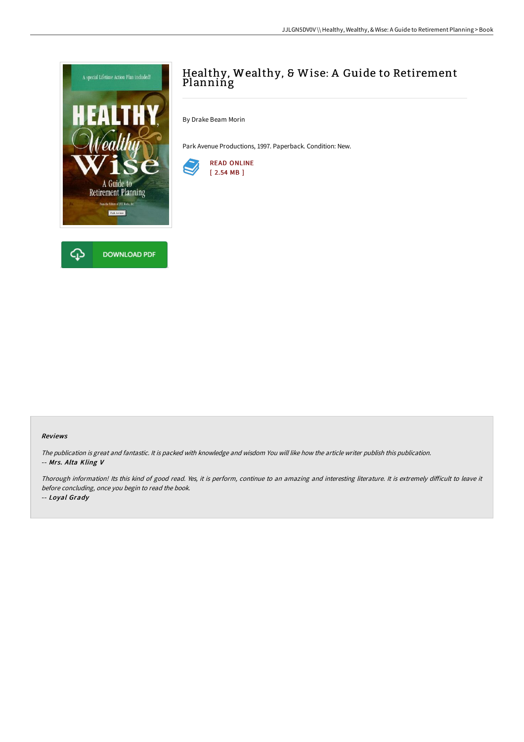

# Healthy, Wealthy, & Wise: A Guide to Retirement Planning

By Drake Beam Morin

Park Avenue Productions, 1997. Paperback. Condition: New.



#### Reviews

The publication is great and fantastic. It is packed with knowledge and wisdom You will like how the article writer publish this publication. -- Mrs. Alta Kling V

Thorough information! Its this kind of good read. Yes, it is perform, continue to an amazing and interesting literature. It is extremely difficult to leave it before concluding, once you begin to read the book.

-- Loyal Grady